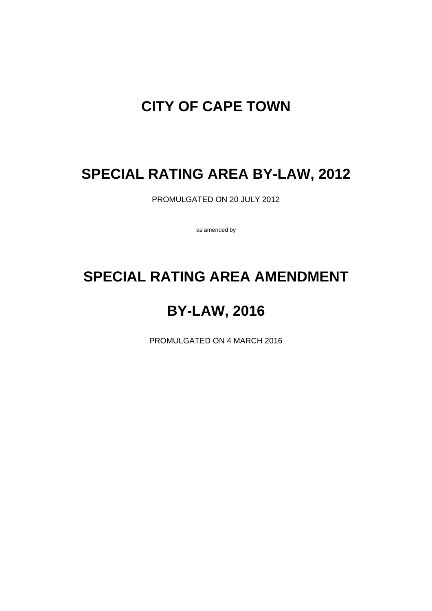# **CITY OF CAPE TOWN**

# **SPECIAL RATING AREA BY-LAW, 2012**

PROMULGATED ON 20 JULY 2012

as amended by

# **SPECIAL RATING AREA AMENDMENT**

# **BY-LAW, 2016**

PROMULGATED ON 4 MARCH 2016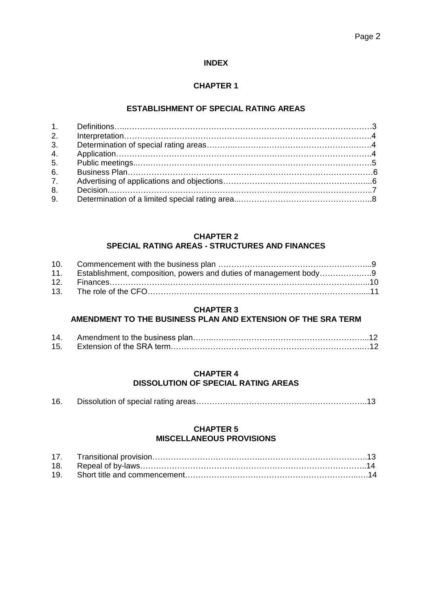#### **INDEX**

### **CHAPTER 1**

### **ESTABLISHMENT OF SPECIAL RATING AREAS**

| 3. |  |
|----|--|
| 4. |  |
|    |  |
| 6. |  |
| 7. |  |
| 8. |  |
| 9. |  |

#### **CHAPTER 2 SPECIAL RATING AREAS - STRUCTURES AND FINANCES**

| 11. Establishment, composition, powers and duties of management body |  |
|----------------------------------------------------------------------|--|
|                                                                      |  |
|                                                                      |  |

#### **CHAPTER 3**

#### **AMENDMENT TO THE BUSINESS PLAN AND EXTENSION OF THE SRA TERM**

#### **CHAPTER 4 DISSOLUTION OF SPECIAL RATING AREAS**

| 16. |  |  |  |  |
|-----|--|--|--|--|
|-----|--|--|--|--|

#### **CHAPTER 5 MISCELLANEOUS PROVISIONS**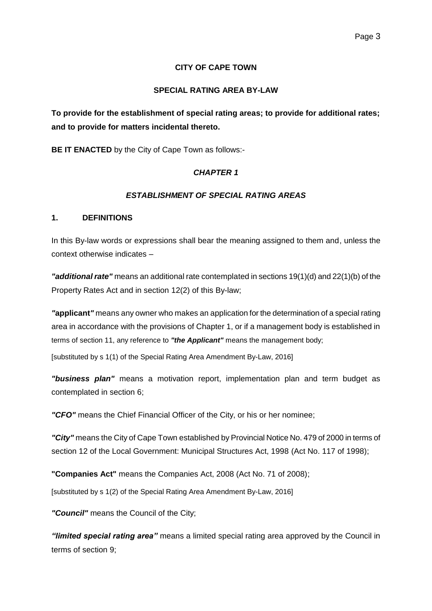#### **CITY OF CAPE TOWN**

#### **SPECIAL RATING AREA BY-LAW**

**To provide for the establishment of special rating areas; to provide for additional rates; and to provide for matters incidental thereto.**

**BE IT ENACTED** by the City of Cape Town as follows:-

#### *CHAPTER 1*

#### *ESTABLISHMENT OF SPECIAL RATING AREAS*

#### **1. DEFINITIONS**

In this By-law words or expressions shall bear the meaning assigned to them and, unless the context otherwise indicates –

*"additional rate"* means an additional rate contemplated in sections 19(1)(d) and 22(1)(b) of the Property Rates Act and in section 12(2) of this By-law;

*"***applicant***"* means any owner who makes an application for the determination of a special rating area in accordance with the provisions of Chapter 1, or if a management body is established in terms of section 11, any reference to *"the Applicant"* means the management body;

[substituted by s 1(1) of the Special Rating Area Amendment By-Law, 2016]

*"business plan"* means a motivation report, implementation plan and term budget as contemplated in section 6;

*"CFO"* means the Chief Financial Officer of the City, or his or her nominee;

*"City"* means the City of Cape Town established by Provincial Notice No. 479 of 2000 in terms of section 12 of the Local Government: Municipal Structures Act, 1998 (Act No. 117 of 1998);

**"Companies Act"** means the Companies Act, 2008 (Act No. 71 of 2008);

[substituted by s 1(2) of the Special Rating Area Amendment By-Law, 2016]

*"Council"* means the Council of the City;

*"limited special rating area"* means a limited special rating area approved by the Council in terms of section 9;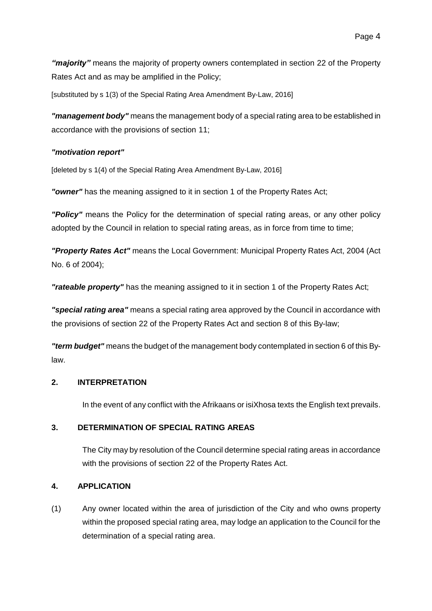*"majority"* means the majority of property owners contemplated in section 22 of the Property Rates Act and as may be amplified in the Policy;

[substituted by s 1(3) of the Special Rating Area Amendment By-Law, 2016]

*"management body"* means the management body of a special rating area to be established in accordance with the provisions of section 11;

#### *"motivation report"*

[deleted by s 1(4) of the Special Rating Area Amendment By-Law, 2016]

*"owner"* has the meaning assigned to it in section 1 of the Property Rates Act;

*"Policy"* means the Policy for the determination of special rating areas, or any other policy adopted by the Council in relation to special rating areas, as in force from time to time;

*"Property Rates Act"* means the Local Government: Municipal Property Rates Act, 2004 (Act No. 6 of 2004);

*"rateable property"* has the meaning assigned to it in section 1 of the Property Rates Act;

*"special rating area"* means a special rating area approved by the Council in accordance with the provisions of section 22 of the Property Rates Act and section 8 of this By-law;

*"term budget"* means the budget of the management body contemplated in section 6 of this Bylaw.

#### **2. INTERPRETATION**

In the event of any conflict with the Afrikaans or isiXhosa texts the English text prevails.

#### **3. DETERMINATION OF SPECIAL RATING AREAS**

The City may by resolution of the Council determine special rating areas in accordance with the provisions of section 22 of the Property Rates Act.

#### **4. APPLICATION**

(1) Any owner located within the area of jurisdiction of the City and who owns property within the proposed special rating area, may lodge an application to the Council for the determination of a special rating area.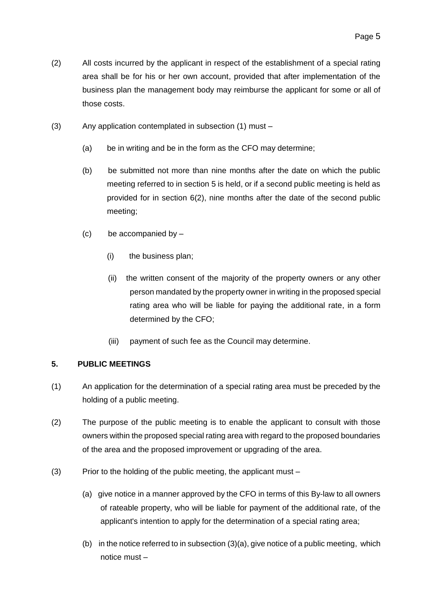- (2) All costs incurred by the applicant in respect of the establishment of a special rating area shall be for his or her own account, provided that after implementation of the business plan the management body may reimburse the applicant for some or all of those costs.
- (3) Any application contemplated in subsection (1) must
	- (a) be in writing and be in the form as the CFO may determine;
	- (b) be submitted not more than nine months after the date on which the public meeting referred to in section 5 is held, or if a second public meeting is held as provided for in section 6(2), nine months after the date of the second public meeting;
	- (c) be accompanied by
		- (i) the business plan;
		- (ii) the written consent of the majority of the property owners or any other person mandated by the property owner in writing in the proposed special rating area who will be liable for paying the additional rate, in a form determined by the CFO;
		- (iii) payment of such fee as the Council may determine.

# **5. PUBLIC MEETINGS**

- (1) An application for the determination of a special rating area must be preceded by the holding of a public meeting.
- (2) The purpose of the public meeting is to enable the applicant to consult with those owners within the proposed special rating area with regard to the proposed boundaries of the area and the proposed improvement or upgrading of the area.
- (3) Prior to the holding of the public meeting, the applicant must
	- (a) give notice in a manner approved by the CFO in terms of this By-law to all owners of rateable property, who will be liable for payment of the additional rate, of the applicant's intention to apply for the determination of a special rating area;
	- (b) in the notice referred to in subsection (3)(a), give notice of a public meeting, which notice must –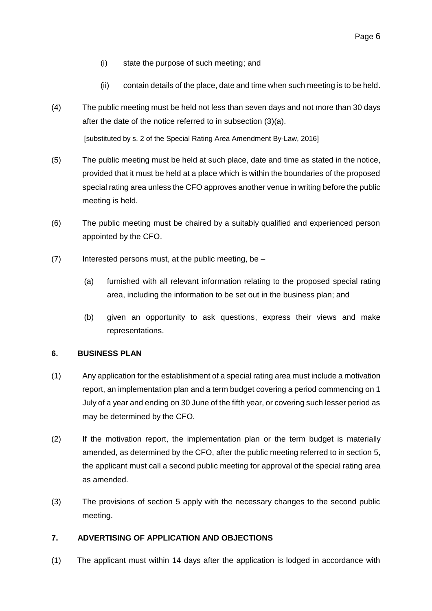- (i) state the purpose of such meeting; and
- (ii) contain details of the place, date and time when such meeting is to be held.
- (4) The public meeting must be held not less than seven days and not more than 30 days after the date of the notice referred to in subsection (3)(a).

[substituted by s. 2 of the Special Rating Area Amendment By-Law, 2016]

- (5) The public meeting must be held at such place, date and time as stated in the notice, provided that it must be held at a place which is within the boundaries of the proposed special rating area unless the CFO approves another venue in writing before the public meeting is held.
- (6) The public meeting must be chaired by a suitably qualified and experienced person appointed by the CFO.
- $(7)$  Interested persons must, at the public meeting, be
	- (a) furnished with all relevant information relating to the proposed special rating area, including the information to be set out in the business plan; and
	- (b) given an opportunity to ask questions, express their views and make representations.

#### **6. BUSINESS PLAN**

- (1) Any application for the establishment of a special rating area must include a motivation report, an implementation plan and a term budget covering a period commencing on 1 July of a year and ending on 30 June of the fifth year, or covering such lesser period as may be determined by the CFO.
- (2) If the motivation report, the implementation plan or the term budget is materially amended, as determined by the CFO, after the public meeting referred to in section 5, the applicant must call a second public meeting for approval of the special rating area as amended.
- (3) The provisions of section 5 apply with the necessary changes to the second public meeting.

# **7. ADVERTISING OF APPLICATION AND OBJECTIONS**

(1) The applicant must within 14 days after the application is lodged in accordance with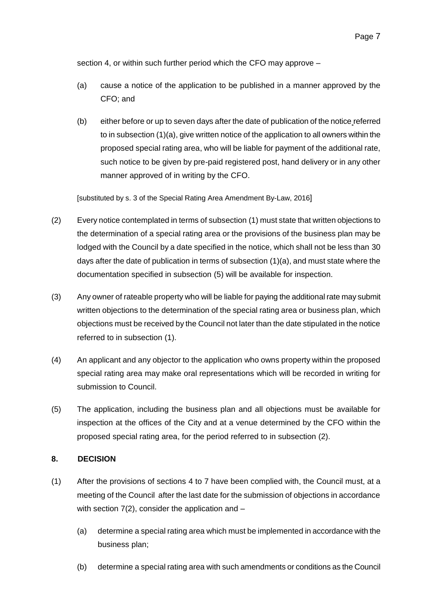section 4, or within such further period which the CFO may approve –

- (a) cause a notice of the application to be published in a manner approved by the CFO; and
- (b) either before or up to seven days after the date of publication of the notice referred to in subsection (1)(a), give written notice of the application to all owners within the proposed special rating area, who will be liable for payment of the additional rate, such notice to be given by pre-paid registered post, hand delivery or in any other manner approved of in writing by the CFO.

[substituted by s. 3 of the Special Rating Area Amendment By-Law, 2016]

- (2) Every notice contemplated in terms of subsection (1) must state that written objections to the determination of a special rating area or the provisions of the business plan may be lodged with the Council by a date specified in the notice, which shall not be less than 30 days after the date of publication in terms of subsection (1)(a), and must state where the documentation specified in subsection (5) will be available for inspection.
- (3) Any owner of rateable property who will be liable for paying the additional rate may submit written objections to the determination of the special rating area or business plan, which objections must be received by the Council not later than the date stipulated in the notice referred to in subsection (1).
- (4) An applicant and any objector to the application who owns property within the proposed special rating area may make oral representations which will be recorded in writing for submission to Council.
- (5) The application, including the business plan and all objections must be available for inspection at the offices of the City and at a venue determined by the CFO within the proposed special rating area, for the period referred to in subsection (2).

#### **8. DECISION**

- (1) After the provisions of sections 4 to 7 have been complied with, the Council must, at a meeting of the Council after the last date for the submission of objections in accordance with section  $7(2)$ , consider the application and  $-$ 
	- (a) determine a special rating area which must be implemented in accordance with the business plan;
	- (b) determine a special rating area with such amendments or conditions as the Council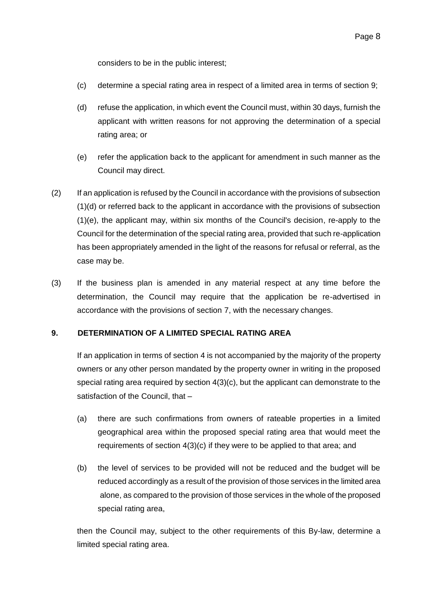considers to be in the public interest;

- (c) determine a special rating area in respect of a limited area in terms of section 9;
- (d) refuse the application, in which event the Council must, within 30 days, furnish the applicant with written reasons for not approving the determination of a special rating area; or
- (e) refer the application back to the applicant for amendment in such manner as the Council may direct.
- (2) If an application is refused by the Council in accordance with the provisions of subsection (1)(d) or referred back to the applicant in accordance with the provisions of subsection (1)(e), the applicant may, within six months of the Council's decision, re-apply to the Council for the determination of the special rating area, provided that such re-application has been appropriately amended in the light of the reasons for refusal or referral, as the case may be.
- (3) If the business plan is amended in any material respect at any time before the determination, the Council may require that the application be re-advertised in accordance with the provisions of section 7, with the necessary changes.

#### **9. DETERMINATION OF A LIMITED SPECIAL RATING AREA**

If an application in terms of section 4 is not accompanied by the majority of the property owners or any other person mandated by the property owner in writing in the proposed special rating area required by section  $4(3)(c)$ , but the applicant can demonstrate to the satisfaction of the Council, that –

- (a) there are such confirmations from owners of rateable properties in a limited geographical area within the proposed special rating area that would meet the requirements of section 4(3)(c) if they were to be applied to that area; and
- (b) the level of services to be provided will not be reduced and the budget will be reduced accordingly as a result of the provision of those services in the limited area alone, as compared to the provision of those services in the whole of the proposed special rating area,

then the Council may, subject to the other requirements of this By-law, determine a limited special rating area.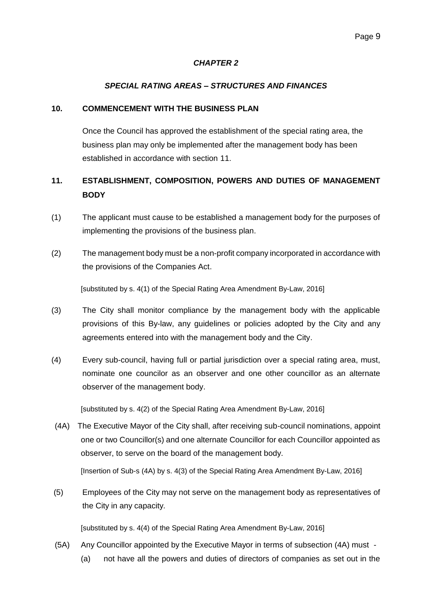#### *CHAPTER 2*

#### *SPECIAL RATING AREAS – STRUCTURES AND FINANCES*

#### **10. COMMENCEMENT WITH THE BUSINESS PLAN**

Once the Council has approved the establishment of the special rating area, the business plan may only be implemented after the management body has been established in accordance with section 11.

# **11. ESTABLISHMENT, COMPOSITION, POWERS AND DUTIES OF MANAGEMENT BODY**

- (1) The applicant must cause to be established a management body for the purposes of implementing the provisions of the business plan.
- (2) The management body must be a non-profit company incorporated in accordance with the provisions of the Companies Act.

[substituted by s. 4(1) of the Special Rating Area Amendment By-Law, 2016]

- (3) The City shall monitor compliance by the management body with the applicable provisions of this By-law, any guidelines or policies adopted by the City and any agreements entered into with the management body and the City.
- (4) Every sub-council, having full or partial jurisdiction over a special rating area, must, nominate one councilor as an observer and one other councillor as an alternate observer of the management body.

[substituted by s. 4(2) of the Special Rating Area Amendment By-Law, 2016]

(4A) The Executive Mayor of the City shall, after receiving sub-council nominations, appoint one or two Councillor(s) and one alternate Councillor for each Councillor appointed as observer, to serve on the board of the management body.

[Insertion of Sub-s (4A) by s. 4(3) of the Special Rating Area Amendment By-Law, 2016]

(5) Employees of the City may not serve on the management body as representatives of the City in any capacity.

[substituted by s. 4(4) of the Special Rating Area Amendment By-Law, 2016]

(5A) Any Councillor appointed by the Executive Mayor in terms of subsection (4A) must - (a) not have all the powers and duties of directors of companies as set out in the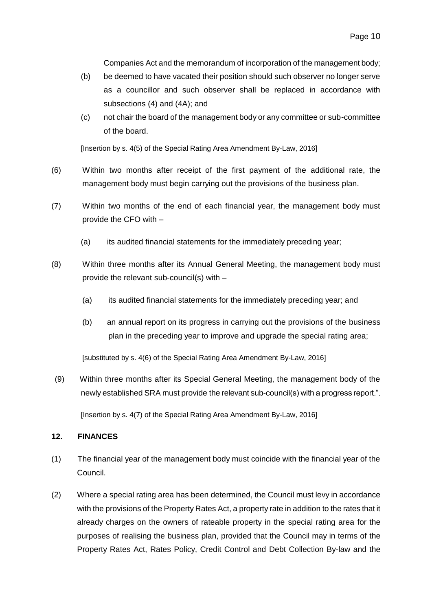Companies Act and the memorandum of incorporation of the management body;

- (b) be deemed to have vacated their position should such observer no longer serve as a councillor and such observer shall be replaced in accordance with subsections (4) and (4A); and
- (c) not chair the board of the management body or any committee or sub-committee of the board.

[Insertion by s. 4(5) of the Special Rating Area Amendment By-Law, 2016]

- (6) Within two months after receipt of the first payment of the additional rate, the management body must begin carrying out the provisions of the business plan.
- (7) Within two months of the end of each financial year, the management body must provide the CFO with –
	- (a) its audited financial statements for the immediately preceding year;
- (8) Within three months after its Annual General Meeting, the management body must provide the relevant sub-council(s) with –
	- (a) its audited financial statements for the immediately preceding year; and
	- (b) an annual report on its progress in carrying out the provisions of the business plan in the preceding year to improve and upgrade the special rating area;

[substituted by s. 4(6) of the Special Rating Area Amendment By-Law, 2016]

(9) Within three months after its Special General Meeting, the management body of the newly established SRA must provide the relevant sub-council(s) with a progress report.".

[Insertion by s. 4(7) of the Special Rating Area Amendment By-Law, 2016]

#### **12. FINANCES**

- (1) The financial year of the management body must coincide with the financial year of the Council.
- (2) Where a special rating area has been determined, the Council must levy in accordance with the provisions of the Property Rates Act, a property rate in addition to the rates that it already charges on the owners of rateable property in the special rating area for the purposes of realising the business plan, provided that the Council may in terms of the Property Rates Act, Rates Policy, Credit Control and Debt Collection By-law and the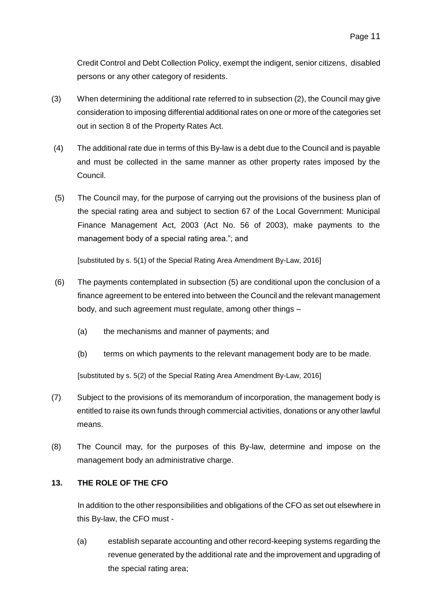Credit Control and Debt Collection Policy, exempt the indigent, senior citizens, disabled persons or any other category of residents.

- (3) When determining the additional rate referred to in subsection (2), the Council may give consideration to imposing differential additional rates on one or more of the categories set out in section 8 of the Property Rates Act.
- (4) The additional rate due in terms of this By-law is a debt due to the Council and is payable and must be collected in the same manner as other property rates imposed by the Council.
- (5) The Council may, for the purpose of carrying out the provisions of the business plan of the special rating area and subject to section 67 of the Local Government: Municipal Finance Management Act, 2003 (Act No. 56 of 2003), make payments to the management body of a special rating area."; and

[substituted by s. 5(1) of the Special Rating Area Amendment By-Law, 2016]

- (6) The payments contemplated in subsection (5) are conditional upon the conclusion of a finance agreement to be entered into between the Council and the relevant management body, and such agreement must regulate, among other things –
	- (a) the mechanisms and manner of payments; and
	- (b) terms on which payments to the relevant management body are to be made.

[substituted by s. 5(2) of the Special Rating Area Amendment By-Law, 2016]

- (7) Subject to the provisions of its memorandum of incorporation, the management body is entitled to raise its own funds through commercial activities, donations or any other lawful means.
- (8) The Council may, for the purposes of this By-law, determine and impose on the management body an administrative charge.

#### **13. THE ROLE OF THE CFO**

In addition to the other responsibilities and obligations of the CFO as set out elsewhere in this By-law, the CFO must -

(a) establish separate accounting and other record-keeping systems regarding the revenue generated by the additional rate and the improvement and upgrading of the special rating area;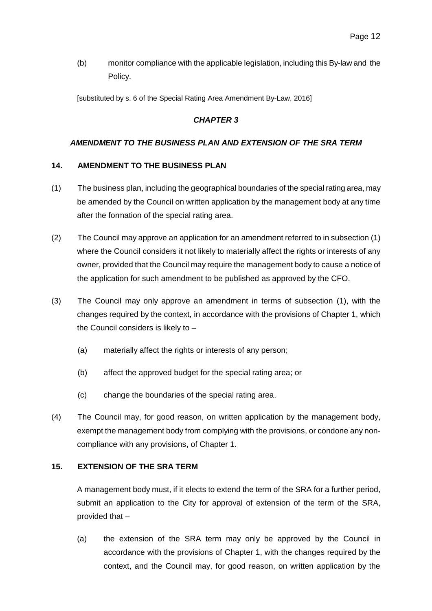(b) monitor compliance with the applicable legislation, including this By-law and the Policy.

[substituted by s. 6 of the Special Rating Area Amendment By-Law, 2016]

#### *CHAPTER 3*

#### *AMENDMENT TO THE BUSINESS PLAN AND EXTENSION OF THE SRA TERM*

#### **14. AMENDMENT TO THE BUSINESS PLAN**

- (1) The business plan, including the geographical boundaries of the special rating area, may be amended by the Council on written application by the management body at any time after the formation of the special rating area.
- (2) The Council may approve an application for an amendment referred to in subsection (1) where the Council considers it not likely to materially affect the rights or interests of any owner, provided that the Council may require the management body to cause a notice of the application for such amendment to be published as approved by the CFO.
- (3) The Council may only approve an amendment in terms of subsection (1), with the changes required by the context, in accordance with the provisions of Chapter 1, which the Council considers is likely to –
	- (a) materially affect the rights or interests of any person;
	- (b) affect the approved budget for the special rating area; or
	- (c) change the boundaries of the special rating area.
- (4) The Council may, for good reason, on written application by the management body, exempt the management body from complying with the provisions, or condone any noncompliance with any provisions, of Chapter 1.

#### **15. EXTENSION OF THE SRA TERM**

A management body must, if it elects to extend the term of the SRA for a further period, submit an application to the City for approval of extension of the term of the SRA, provided that –

(a) the extension of the SRA term may only be approved by the Council in accordance with the provisions of Chapter 1, with the changes required by the context, and the Council may, for good reason, on written application by the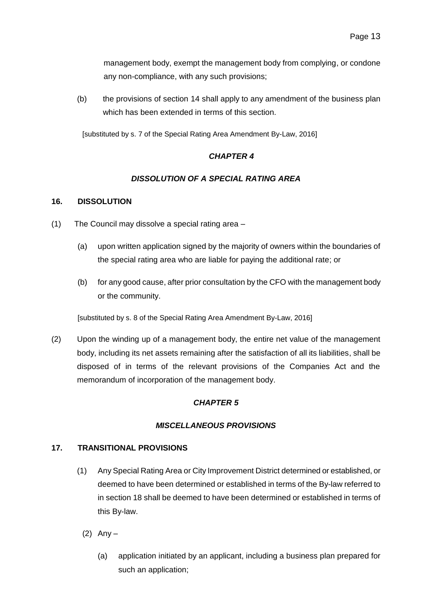management body, exempt the management body from complying, or condone any non-compliance, with any such provisions;

(b) the provisions of section 14 shall apply to any amendment of the business plan which has been extended in terms of this section.

[substituted by s. 7 of the Special Rating Area Amendment By-Law, 2016]

# *CHAPTER 4*

# *DISSOLUTION OF A SPECIAL RATING AREA*

### **16. DISSOLUTION**

- (1) The Council may dissolve a special rating area
	- (a) upon written application signed by the majority of owners within the boundaries of the special rating area who are liable for paying the additional rate; or
	- (b) for any good cause, after prior consultation by the CFO with the management body or the community.

[substituted by s. 8 of the Special Rating Area Amendment By-Law, 2016]

(2) Upon the winding up of a management body, the entire net value of the management body, including its net assets remaining after the satisfaction of all its liabilities, shall be disposed of in terms of the relevant provisions of the Companies Act and the memorandum of incorporation of the management body.

# *CHAPTER 5*

# *MISCELLANEOUS PROVISIONS*

# **17. TRANSITIONAL PROVISIONS**

- (1) Any Special Rating Area or City Improvement District determined or established, or deemed to have been determined or established in terms of the By-law referred to in section 18 shall be deemed to have been determined or established in terms of this By-law.
	- $(2)$  Any
		- (a) application initiated by an applicant, including a business plan prepared for such an application;